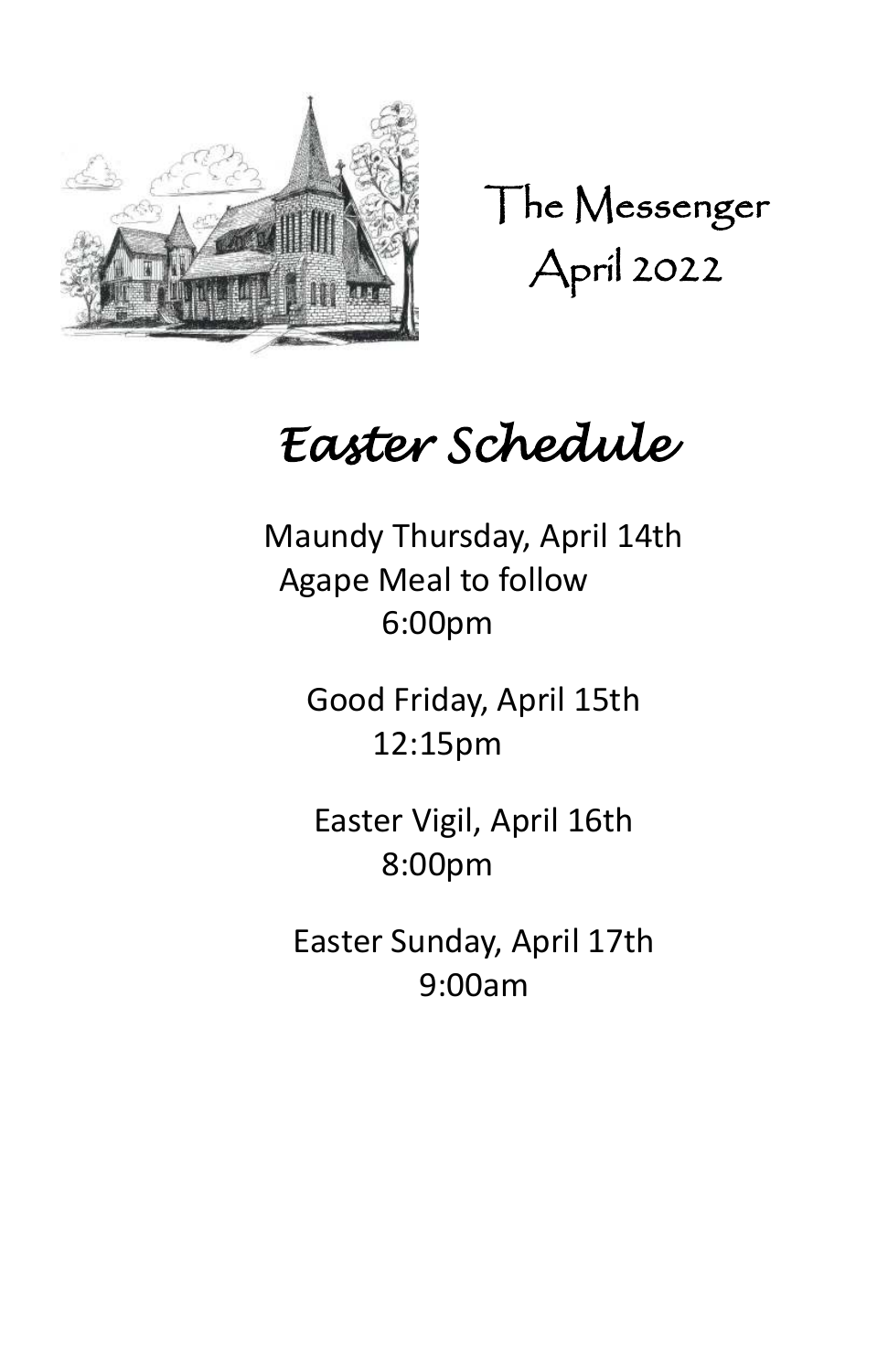

The Messenger April 2022

# *Easter Schedule*

Maundy Thursday, April 14th Agape Meal to follow 6:00pm

Good Friday, April 15th 12:15pm

Easter Vigil, April 16th 8:00pm

Easter Sunday, April 17th 9:00am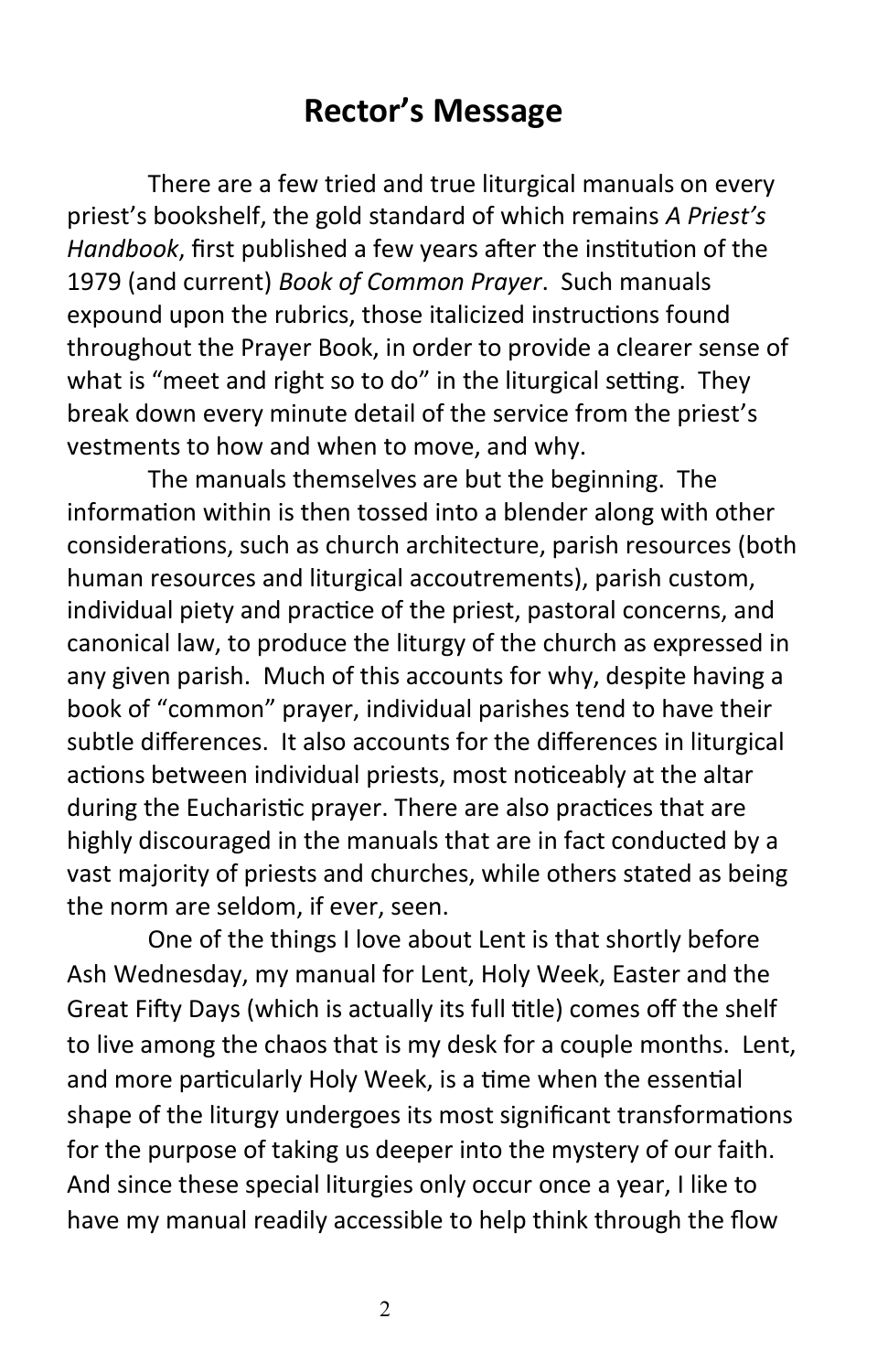# **Rector's Message**

There are a few tried and true liturgical manuals on every priest's bookshelf, the gold standard of which remains *A Priest's Handbook*, first published a few years after the institution of the 1979 (and current) *Book of Common Prayer*. Such manuals expound upon the rubrics, those italicized instructions found throughout the Prayer Book, in order to provide a clearer sense of what is "meet and right so to do" in the liturgical setting. They break down every minute detail of the service from the priest's vestments to how and when to move, and why.

The manuals themselves are but the beginning. The information within is then tossed into a blender along with other considerations, such as church architecture, parish resources (both human resources and liturgical accoutrements), parish custom, individual piety and practice of the priest, pastoral concerns, and canonical law, to produce the liturgy of the church as expressed in any given parish. Much of this accounts for why, despite having a book of "common" prayer, individual parishes tend to have their subtle differences. It also accounts for the differences in liturgical actions between individual priests, most noticeably at the altar during the Eucharistic prayer. There are also practices that are highly discouraged in the manuals that are in fact conducted by a vast majority of priests and churches, while others stated as being the norm are seldom, if ever, seen.

One of the things I love about Lent is that shortly before Ash Wednesday, my manual for Lent, Holy Week, Easter and the Great Fifty Days (which is actually its full title) comes off the shelf to live among the chaos that is my desk for a couple months. Lent, and more particularly Holy Week, is a time when the essential shape of the liturgy undergoes its most significant transformations for the purpose of taking us deeper into the mystery of our faith. And since these special liturgies only occur once a year, I like to have my manual readily accessible to help think through the flow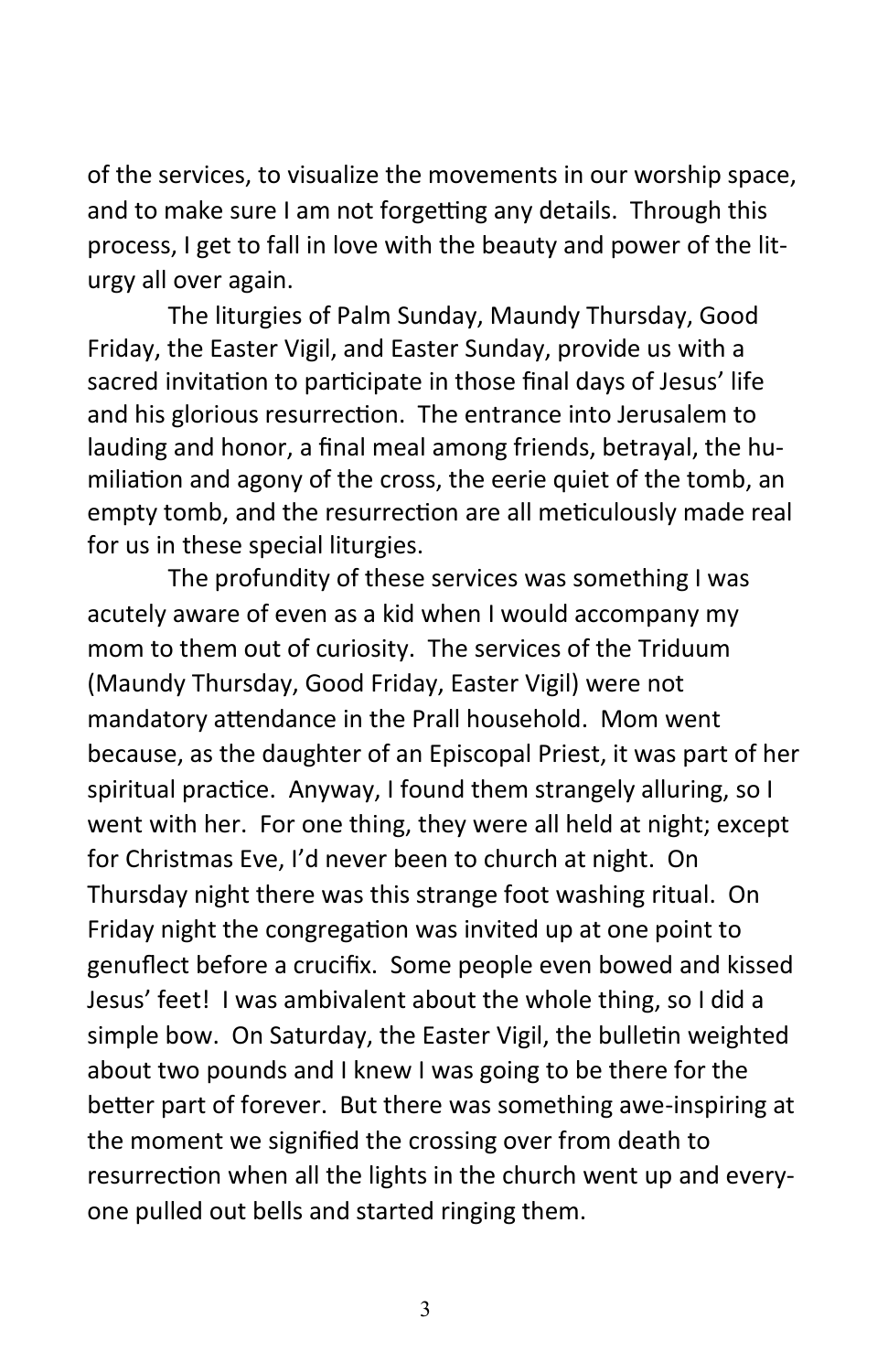of the services, to visualize the movements in our worship space, and to make sure I am not forgetting any details. Through this process, I get to fall in love with the beauty and power of the liturgy all over again.

The liturgies of Palm Sunday, Maundy Thursday, Good Friday, the Easter Vigil, and Easter Sunday, provide us with a sacred invitation to participate in those final days of Jesus' life and his glorious resurrection. The entrance into Jerusalem to lauding and honor, a final meal among friends, betrayal, the humiliation and agony of the cross, the eerie quiet of the tomb, an empty tomb, and the resurrection are all meticulously made real for us in these special liturgies.

The profundity of these services was something I was acutely aware of even as a kid when I would accompany my mom to them out of curiosity. The services of the Triduum (Maundy Thursday, Good Friday, Easter Vigil) were not mandatory attendance in the Prall household. Mom went because, as the daughter of an Episcopal Priest, it was part of her spiritual practice. Anyway, I found them strangely alluring, so I went with her. For one thing, they were all held at night; except for Christmas Eve, I'd never been to church at night. On Thursday night there was this strange foot washing ritual. On Friday night the congregation was invited up at one point to genuflect before a crucifix. Some people even bowed and kissed Jesus' feet! I was ambivalent about the whole thing, so I did a simple bow. On Saturday, the Easter Vigil, the bulletin weighted about two pounds and I knew I was going to be there for the better part of forever. But there was something awe-inspiring at the moment we signified the crossing over from death to resurrection when all the lights in the church went up and everyone pulled out bells and started ringing them.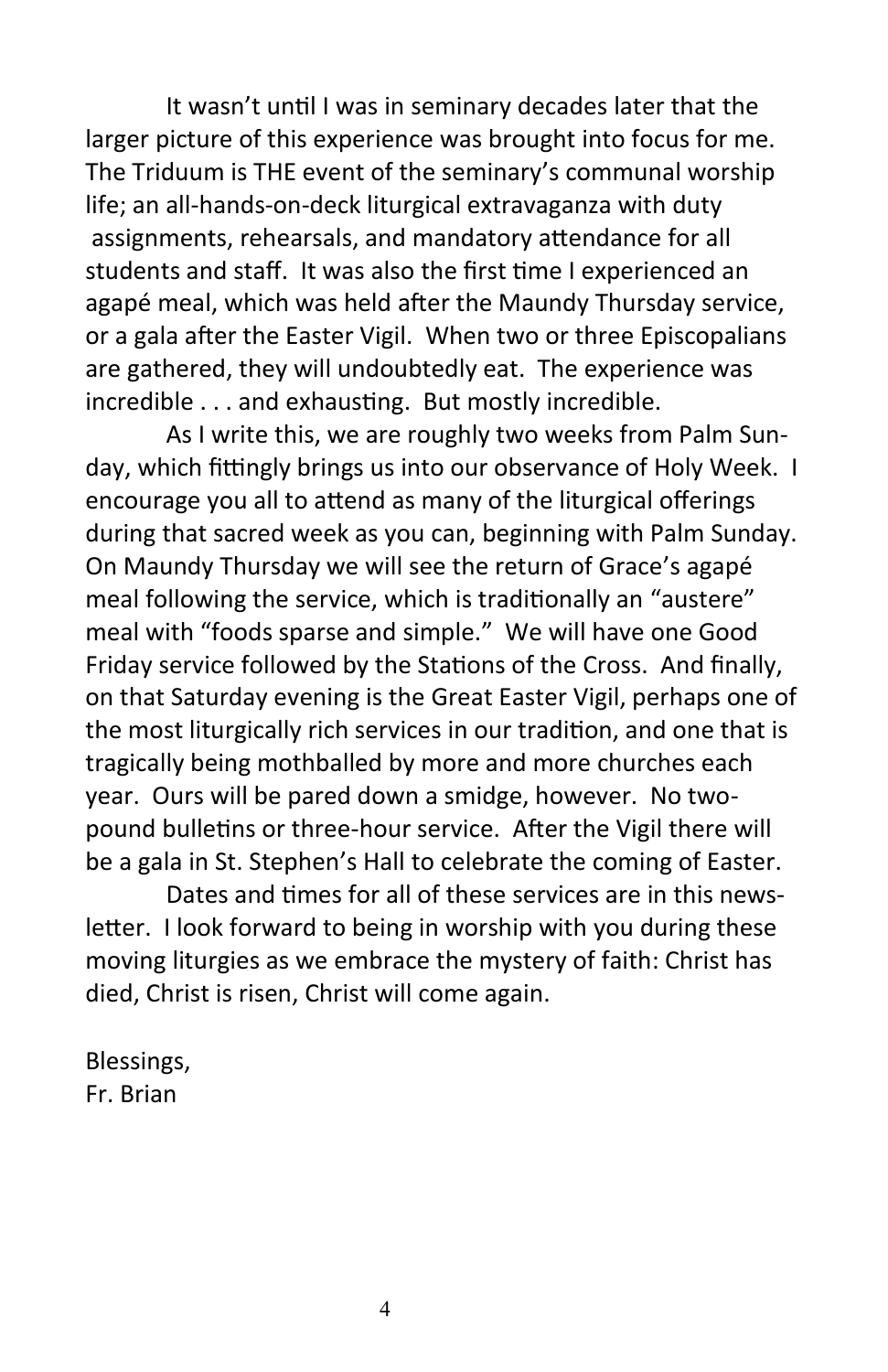It wasn't until I was in seminary decades later that the larger picture of this experience was brought into focus for me. The Triduum is THE event of the seminary's communal worship life; an all-hands-on-deck liturgical extravaganza with duty assignments, rehearsals, and mandatory attendance for all students and staff. It was also the first time I experienced an agapé meal, which was held after the Maundy Thursday service, or a gala after the Easter Vigil. When two or three Episcopalians are gathered, they will undoubtedly eat. The experience was incredible . . . and exhausting. But mostly incredible.

As I write this, we are roughly two weeks from Palm Sunday, which fittingly brings us into our observance of Holy Week. I encourage you all to attend as many of the liturgical offerings during that sacred week as you can, beginning with Palm Sunday. On Maundy Thursday we will see the return of Grace's agapé meal following the service, which is traditionally an "austere" meal with "foods sparse and simple." We will have one Good Friday service followed by the Stations of the Cross. And finally, on that Saturday evening is the Great Easter Vigil, perhaps one of the most liturgically rich services in our tradition, and one that is tragically being mothballed by more and more churches each year. Ours will be pared down a smidge, however. No twopound bulletins or three-hour service. After the Vigil there will be a gala in St. Stephen's Hall to celebrate the coming of Easter.

Dates and times for all of these services are in this newsletter. I look forward to being in worship with you during these moving liturgies as we embrace the mystery of faith: Christ has died, Christ is risen, Christ will come again.

Blessings, Fr. Brian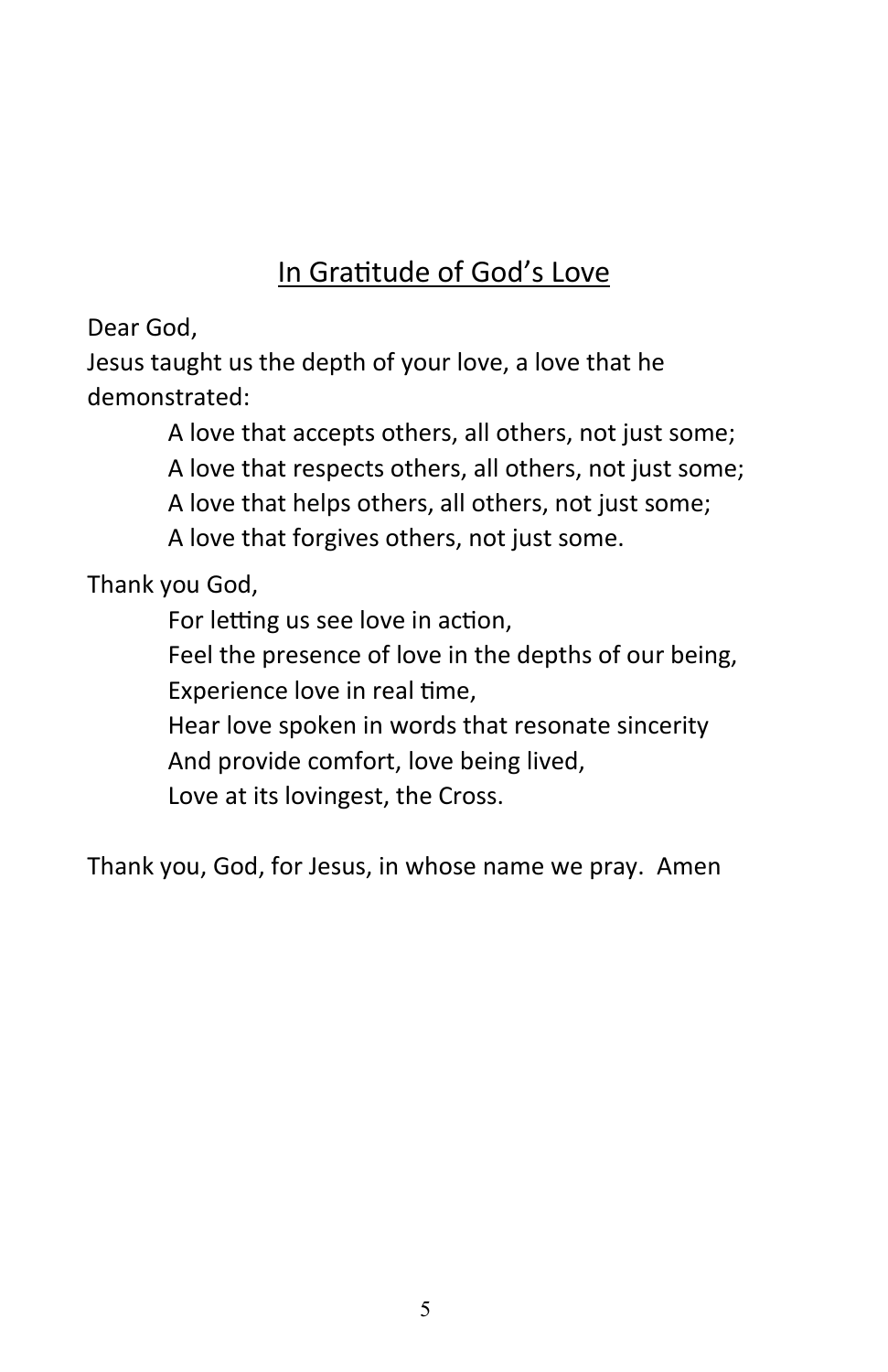## In Gratitude of God's Love

Dear God,

Jesus taught us the depth of your love, a love that he demonstrated:

> A love that accepts others, all others, not just some; A love that respects others, all others, not just some; A love that helps others, all others, not just some; A love that forgives others, not just some.

Thank you God,

For letting us see love in action,

Feel the presence of love in the depths of our being, Experience love in real time,

Hear love spoken in words that resonate sincerity And provide comfort, love being lived, Love at its lovingest, the Cross.

Thank you, God, for Jesus, in whose name we pray. Amen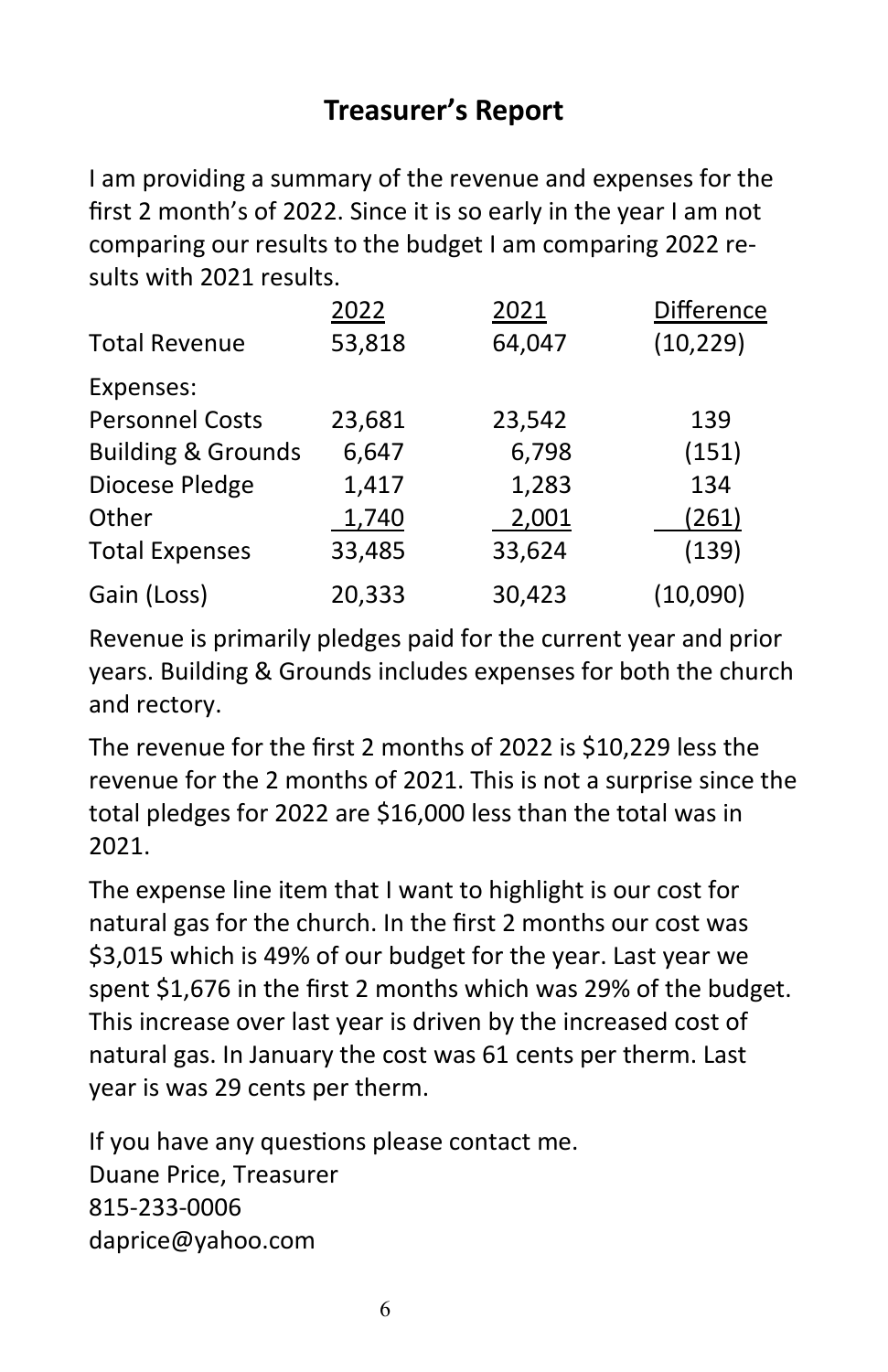#### **Treasurer's Report**

I am providing a summary of the revenue and expenses for the first 2 month's of 2022. Since it is so early in the year I am not comparing our results to the budget I am comparing 2022 results with 2021 results.

|                               | 2022   | 2021   | Difference |
|-------------------------------|--------|--------|------------|
| <b>Total Revenue</b>          | 53,818 | 64,047 | (10, 229)  |
| Expenses:                     |        |        |            |
| <b>Personnel Costs</b>        | 23,681 | 23,542 | 139        |
| <b>Building &amp; Grounds</b> | 6,647  | 6,798  | (151)      |
| Diocese Pledge                | 1,417  | 1,283  | 134        |
| Other                         | 1,740  | 2,001  | (261)      |
| <b>Total Expenses</b>         | 33,485 | 33,624 | (139)      |
| Gain (Loss)                   | 20,333 | 30,423 | (10,090)   |

Revenue is primarily pledges paid for the current year and prior years. Building & Grounds includes expenses for both the church and rectory.

The revenue for the first 2 months of 2022 is \$10,229 less the revenue for the 2 months of 2021. This is not a surprise since the total pledges for 2022 are \$16,000 less than the total was in 2021.

The expense line item that I want to highlight is our cost for natural gas for the church. In the first 2 months our cost was \$3,015 which is 49% of our budget for the year. Last year we spent \$1,676 in the first 2 months which was 29% of the budget. This increase over last year is driven by the increased cost of natural gas. In January the cost was 61 cents per therm. Last year is was 29 cents per therm.

If you have any questions please contact me. Duane Price, Treasurer 815-233-0006 daprice@yahoo.com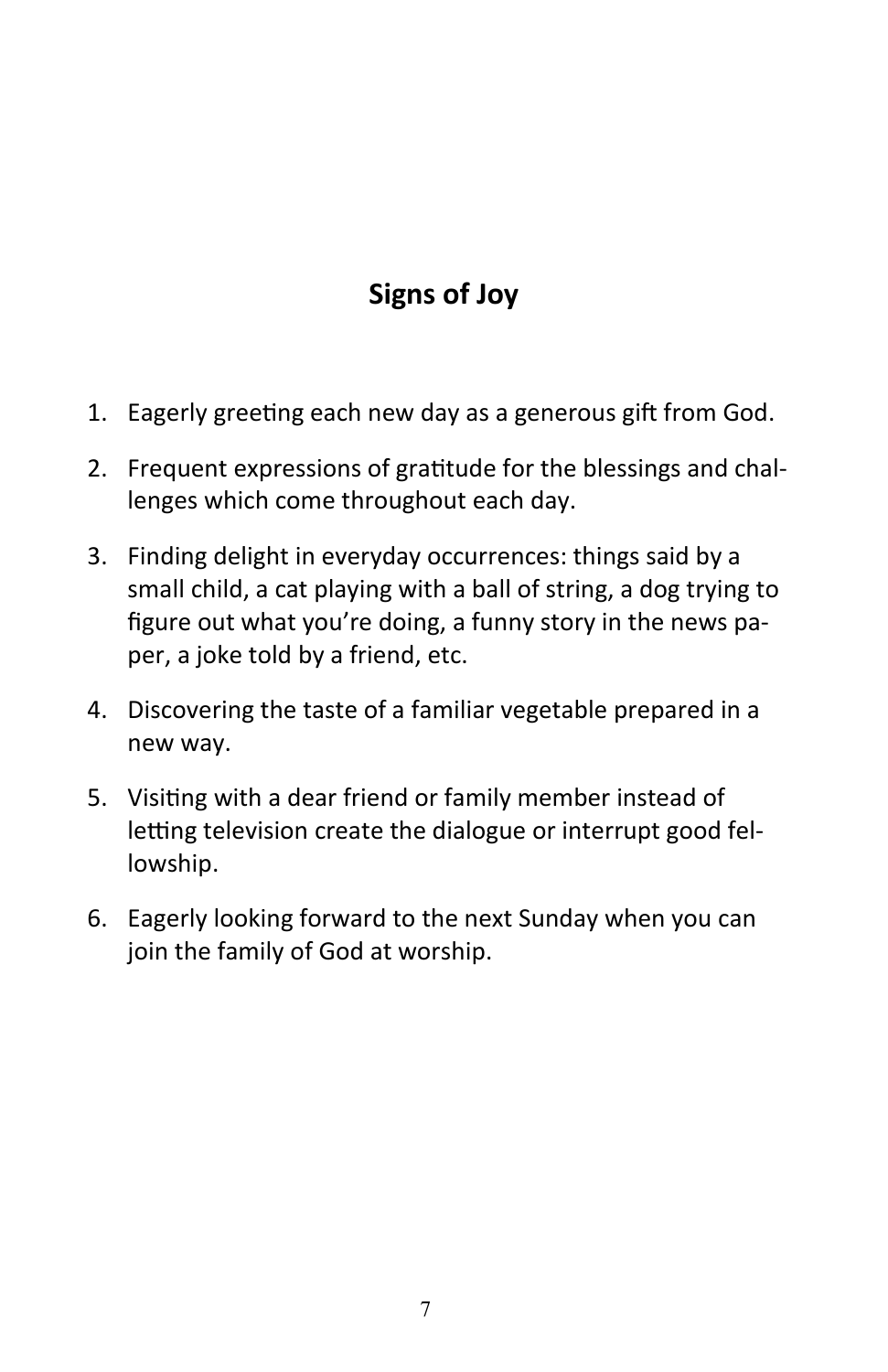# **Signs of Joy**

- 1. Eagerly greeting each new day as a generous gift from God.
- 2. Frequent expressions of gratitude for the blessings and challenges which come throughout each day.
- 3. Finding delight in everyday occurrences: things said by a small child, a cat playing with a ball of string, a dog trying to figure out what you're doing, a funny story in the news paper, a joke told by a friend, etc.
- 4. Discovering the taste of a familiar vegetable prepared in a new way.
- 5. Visiting with a dear friend or family member instead of letting television create the dialogue or interrupt good fellowship.
- 6. Eagerly looking forward to the next Sunday when you can join the family of God at worship.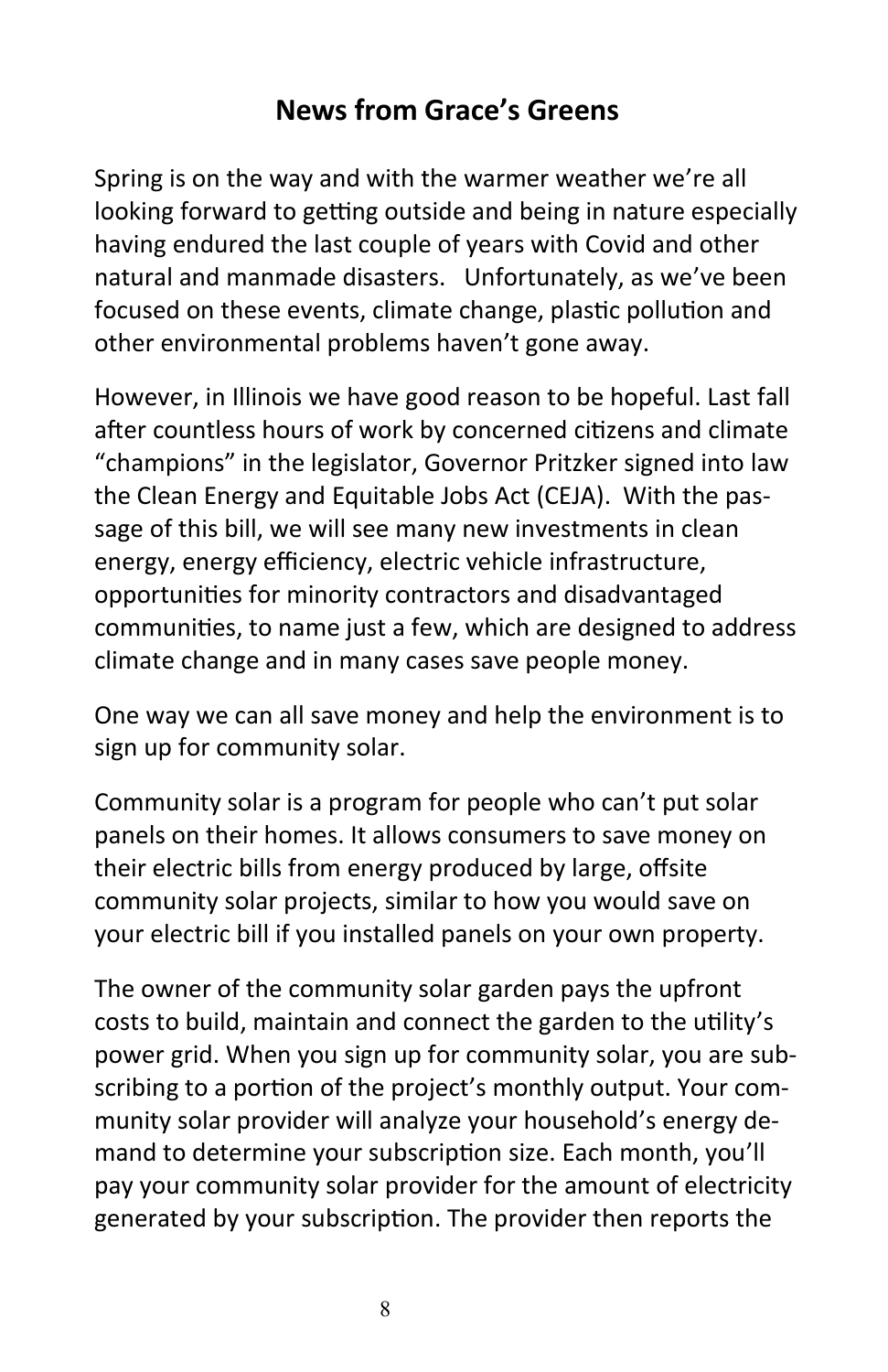## **News from Grace's Greens**

Spring is on the way and with the warmer weather we're all looking forward to getting outside and being in nature especially having endured the last couple of years with Covid and other natural and manmade disasters. Unfortunately, as we've been focused on these events, climate change, plastic pollution and other environmental problems haven't gone away.

However, in Illinois we have good reason to be hopeful. Last fall after countless hours of work by concerned citizens and climate "champions" in the legislator, Governor Pritzker signed into law the Clean Energy and Equitable Jobs Act (CEJA). With the passage of this bill, we will see many new investments in clean energy, energy efficiency, electric vehicle infrastructure, opportunities for minority contractors and disadvantaged communities, to name just a few, which are designed to address climate change and in many cases save people money.

One way we can all save money and help the environment is to sign up for community solar.

Community solar is a program for people who can't put solar panels on their homes. It allows consumers to save money on their electric bills from energy produced by large, offsite community solar projects, similar to how you would save on your electric bill if you installed panels on your own property.

The owner of the community solar garden pays the upfront costs to build, maintain and connect the garden to the utility's power grid. When you sign up for community solar, you are subscribing to a portion of the project's monthly output. Your community solar provider will analyze your household's energy demand to determine your subscription size. Each month, you'll pay your community solar provider for the amount of electricity generated by your subscription. The provider then reports the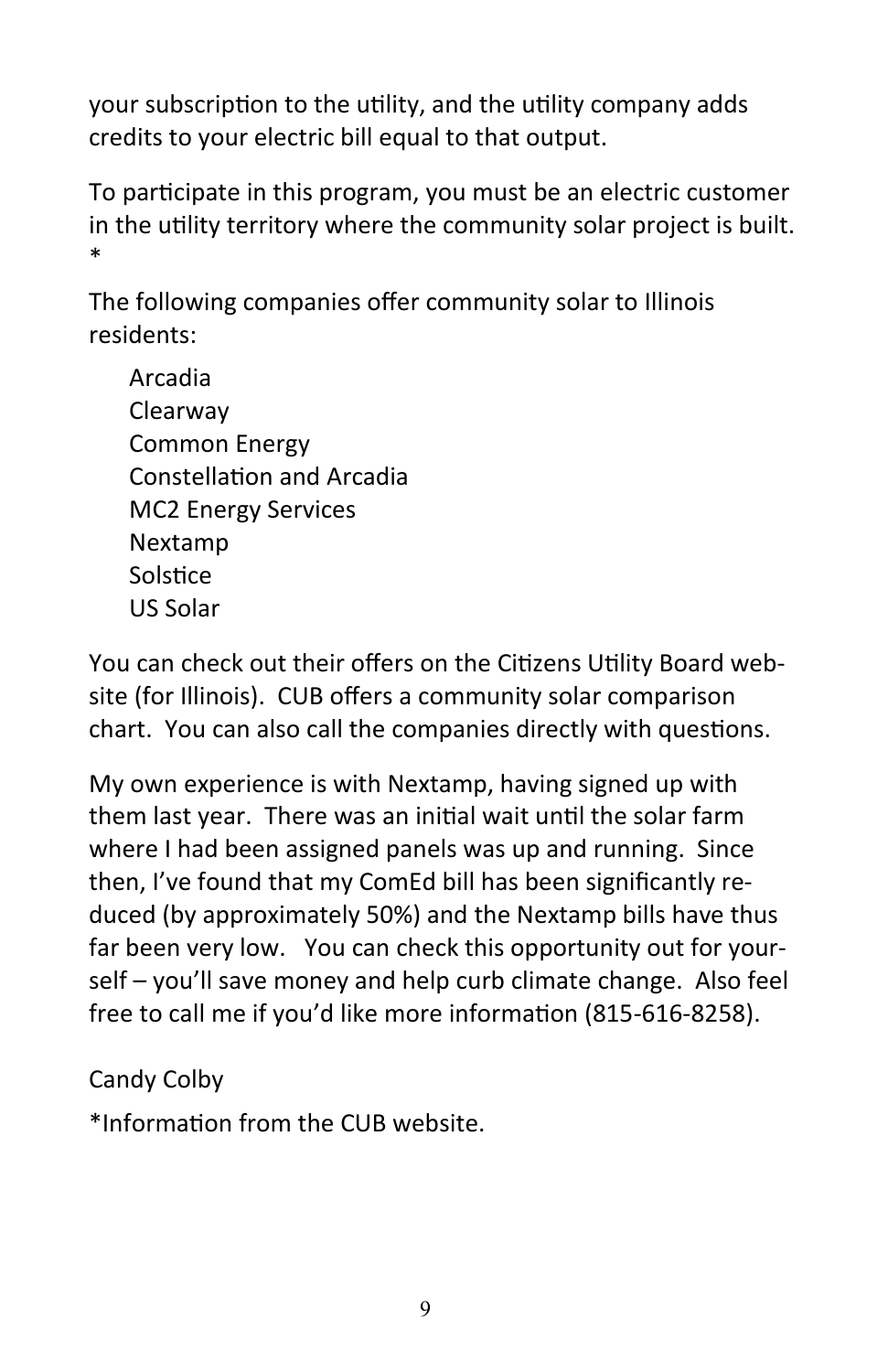your subscription to the utility, and the utility company adds credits to your electric bill equal to that output.

To participate in this program, you must be an electric customer in the utility territory where the community solar project is built. \*

The following companies offer community solar to Illinois residents:

Arcadia Clearway Common Energy Constellation and Arcadia MC2 Energy Services Nextamp Solstice US Solar

You can check out their offers on the Citizens Utility Board website (for Illinois). CUB offers a community solar comparison chart. You can also call the companies directly with questions.

My own experience is with Nextamp, having signed up with them last year. There was an initial wait until the solar farm where I had been assigned panels was up and running. Since then, I've found that my ComEd bill has been significantly reduced (by approximately 50%) and the Nextamp bills have thus far been very low. You can check this opportunity out for yourself – you'll save money and help curb climate change. Also feel free to call me if you'd like more information (815-616-8258).

Candy Colby

\*Information from the CUB website.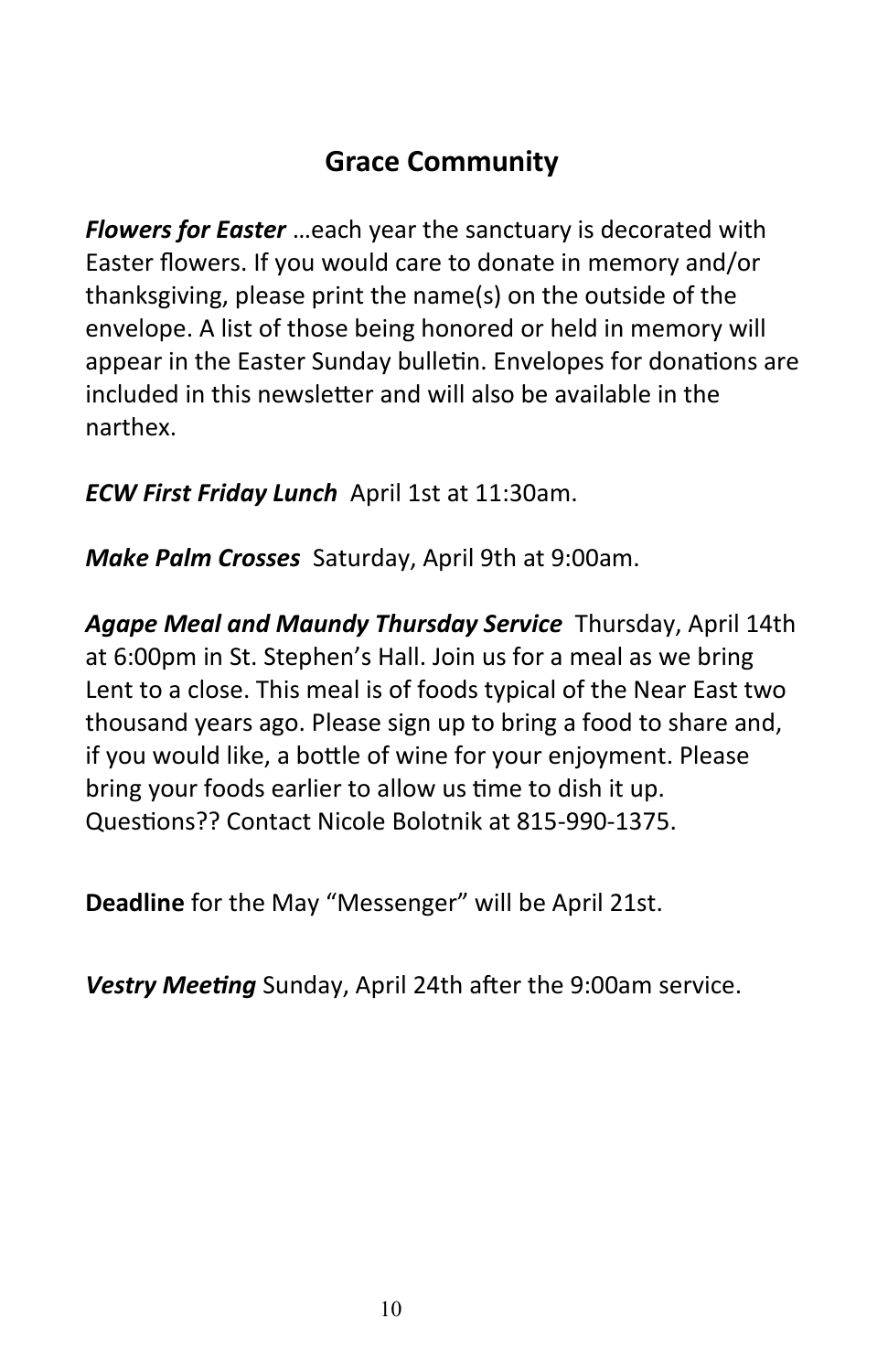### **Grace Community**

*Flowers for Easter* …each year the sanctuary is decorated with Easter flowers. If you would care to donate in memory and/or thanksgiving, please print the name(s) on the outside of the envelope. A list of those being honored or held in memory will appear in the Easter Sunday bulletin. Envelopes for donations are included in this newsletter and will also be available in the narthex.

*ECW First Friday Lunch* April 1st at 11:30am.

*Make Palm Crosses* Saturday, April 9th at 9:00am.

*Agape Meal and Maundy Thursday Service* Thursday, April 14th at 6:00pm in St. Stephen's Hall. Join us for a meal as we bring Lent to a close. This meal is of foods typical of the Near East two thousand years ago. Please sign up to bring a food to share and, if you would like, a bottle of wine for your enjoyment. Please bring your foods earlier to allow us time to dish it up. Questions?? Contact Nicole Bolotnik at 815-990-1375.

**Deadline** for the May "Messenger" will be April 21st.

*Vestry Meeting* Sunday, April 24th after the 9:00am service.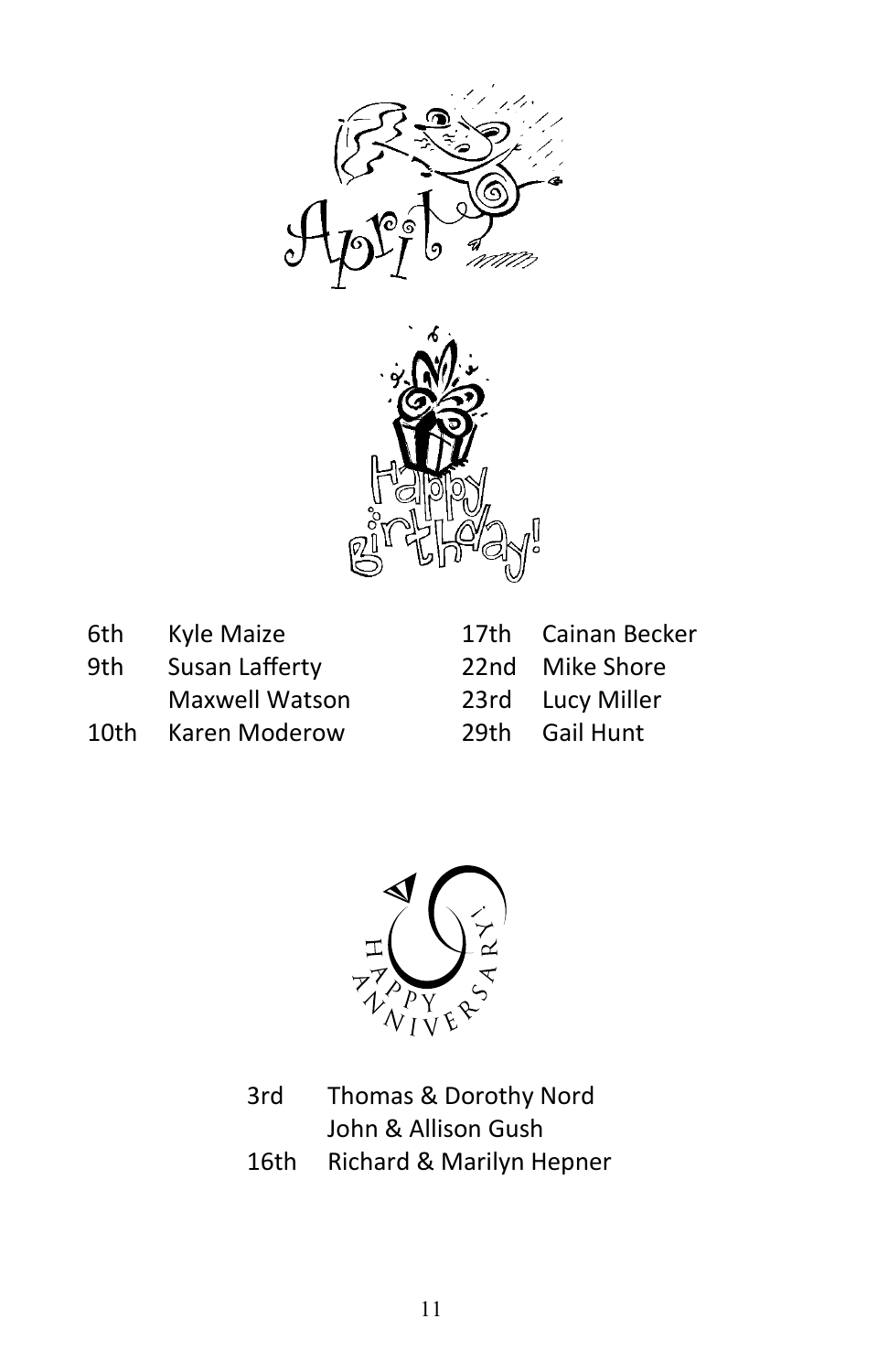



| 6th  | Kyle Maize            |
|------|-----------------------|
| 9th  | Susan Lafferty        |
|      | <b>Maxwell Watson</b> |
| 10th | Karen Moderow         |

| 17th | Cainan Becker |
|------|---------------|
| 22nd | Mike Shore    |
| 23rd | Lucy Miller   |
| 29th | Gail Hunt     |



3rd Thomas & Dorothy Nord John & Allison Gush 16th Richard & Marilyn Hepner